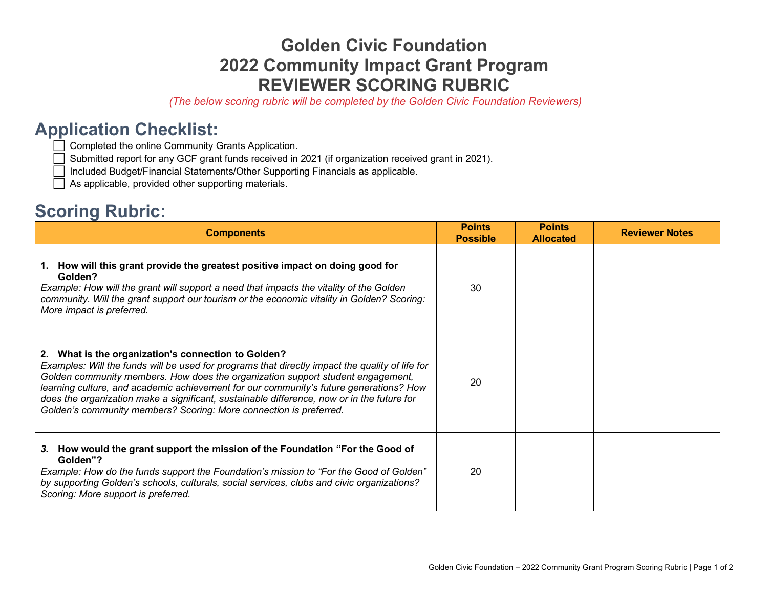## **Golden Civic Foundation 2022 Community Impact Grant Program REVIEWER SCORING RUBRIC**

*(The below scoring rubric will be completed by the Golden Civic Foundation Reviewers)* 

## **Application Checklist:**

◯ Completed the online Community Grants Application.

◯ Submitted report for any GCF grant funds received in 2021 (if organization received grant in 2021).

⬜ Included Budget/Financial Statements/Other Supporting Financials as applicable.

 $\Box$  As applicable, provided other supporting materials.

## **Scoring Rubric:**

| <b>Components</b>                                                                                                                                                                                                                                                                                                                                                                                                                                                                                          | <b>Points</b><br><b>Possible</b> | <b>Points</b><br><b>Allocated</b> | <b>Reviewer Notes</b> |
|------------------------------------------------------------------------------------------------------------------------------------------------------------------------------------------------------------------------------------------------------------------------------------------------------------------------------------------------------------------------------------------------------------------------------------------------------------------------------------------------------------|----------------------------------|-----------------------------------|-----------------------|
| 1. How will this grant provide the greatest positive impact on doing good for<br>Golden?<br>Example: How will the grant will support a need that impacts the vitality of the Golden<br>community. Will the grant support our tourism or the economic vitality in Golden? Scoring:<br>More impact is preferred.                                                                                                                                                                                             | 30                               |                                   |                       |
| What is the organization's connection to Golden?<br>2.<br>Examples: Will the funds will be used for programs that directly impact the quality of life for<br>Golden community members. How does the organization support student engagement,<br>learning culture, and academic achievement for our community's future generations? How<br>does the organization make a significant, sustainable difference, now or in the future for<br>Golden's community members? Scoring: More connection is preferred. | 20                               |                                   |                       |
| 3. How would the grant support the mission of the Foundation "For the Good of<br>Golden"?<br>Example: How do the funds support the Foundation's mission to "For the Good of Golden"<br>by supporting Golden's schools, culturals, social services, clubs and civic organizations?<br>Scoring: More support is preferred.                                                                                                                                                                                   | 20                               |                                   |                       |